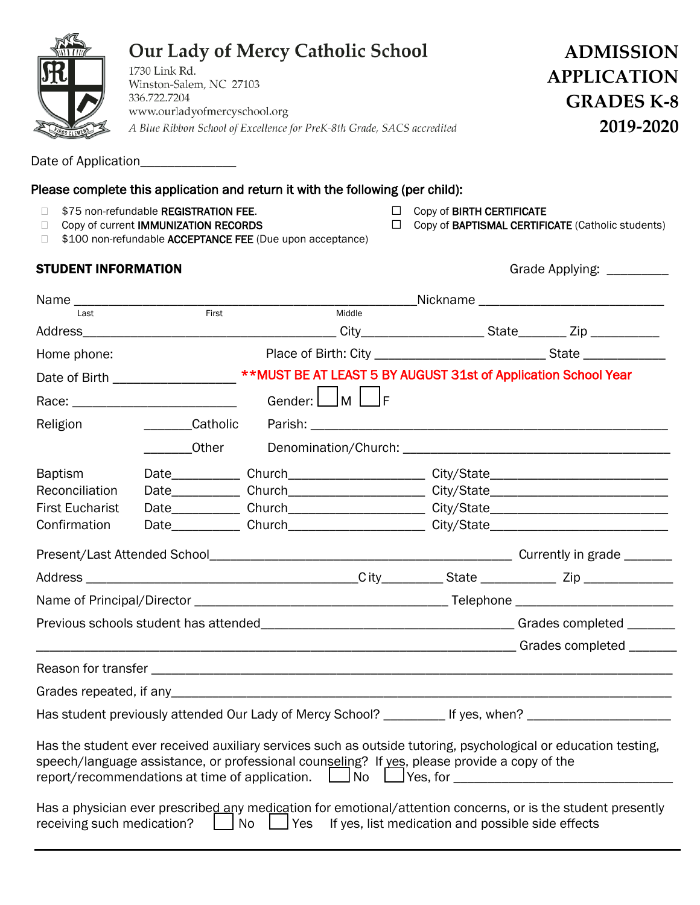|                            | 1730 Link Rd.<br>Winston-Salem, NC 27103<br>336.722.7204<br>www.ourladyofmercyschool.org<br>Date of Application______________ | <b>Our Lady of Mercy Catholic School</b><br>A Blue Ribbon School of Excellence for PreK-8th Grade, SACS accredited                                                                                                |                           | <b>ADMISSION</b><br><b>APPLICATION</b><br><b>GRADES K-8</b><br>2019-2020                                   |
|----------------------------|-------------------------------------------------------------------------------------------------------------------------------|-------------------------------------------------------------------------------------------------------------------------------------------------------------------------------------------------------------------|---------------------------|------------------------------------------------------------------------------------------------------------|
|                            |                                                                                                                               | Please complete this application and return it with the following (per child):                                                                                                                                    |                           |                                                                                                            |
| П<br>П<br>П                | \$75 non-refundable REGISTRATION FEE.<br>Copy of current IMMUNIZATION RECORDS                                                 | ⊔<br>\$100 non-refundable ACCEPTANCE FEE (Due upon acceptance)                                                                                                                                                    | Copy of BIRTH CERTIFICATE | Copy of BAPTISMAL CERTIFICATE (Catholic students)                                                          |
| <b>STUDENT INFORMATION</b> |                                                                                                                               |                                                                                                                                                                                                                   |                           | Grade Applying: _________                                                                                  |
|                            |                                                                                                                               |                                                                                                                                                                                                                   |                           |                                                                                                            |
|                            |                                                                                                                               |                                                                                                                                                                                                                   |                           |                                                                                                            |
|                            |                                                                                                                               |                                                                                                                                                                                                                   |                           |                                                                                                            |
| Home phone:                |                                                                                                                               |                                                                                                                                                                                                                   |                           |                                                                                                            |
|                            |                                                                                                                               | Date of Birth _________________ **MUST BE AT LEAST 5 BY AUGUST 31st of Application School Year                                                                                                                    |                           |                                                                                                            |
|                            |                                                                                                                               | Gender: $\Box$ M $\Box$ F                                                                                                                                                                                         |                           |                                                                                                            |
| Religion                   | Catholic                                                                                                                      |                                                                                                                                                                                                                   |                           |                                                                                                            |
|                            | Other                                                                                                                         |                                                                                                                                                                                                                   |                           |                                                                                                            |
| <b>Baptism</b>             |                                                                                                                               |                                                                                                                                                                                                                   |                           |                                                                                                            |
| Reconciliation             |                                                                                                                               |                                                                                                                                                                                                                   |                           |                                                                                                            |
| <b>First Eucharist</b>     |                                                                                                                               |                                                                                                                                                                                                                   |                           |                                                                                                            |
| Confirmation               |                                                                                                                               |                                                                                                                                                                                                                   |                           |                                                                                                            |
|                            |                                                                                                                               |                                                                                                                                                                                                                   |                           |                                                                                                            |
|                            |                                                                                                                               |                                                                                                                                                                                                                   |                           |                                                                                                            |
|                            |                                                                                                                               |                                                                                                                                                                                                                   |                           |                                                                                                            |
|                            |                                                                                                                               |                                                                                                                                                                                                                   |                           |                                                                                                            |
|                            |                                                                                                                               |                                                                                                                                                                                                                   |                           |                                                                                                            |
|                            |                                                                                                                               |                                                                                                                                                                                                                   |                           |                                                                                                            |
|                            |                                                                                                                               |                                                                                                                                                                                                                   |                           |                                                                                                            |
|                            |                                                                                                                               |                                                                                                                                                                                                                   |                           | Has student previously attended Our Lady of Mercy School? ___________ If yes, when? ______________________ |
|                            |                                                                                                                               | Has the student ever received auxiliary services such as outside tutoring, psychological or education testing,<br>speech/language assistance, or professional counseling? If yes, please provide a copy of the    |                           | report/recommendations at time of application.     No   Yes, for __________________________________        |
|                            |                                                                                                                               | Has a physician ever prescribed any medication for emotional/attention concerns, or is the student presently<br>receiving such medication? $\Box$ No $\Box$ Yes If yes, list medication and possible side effects |                           |                                                                                                            |

ARS